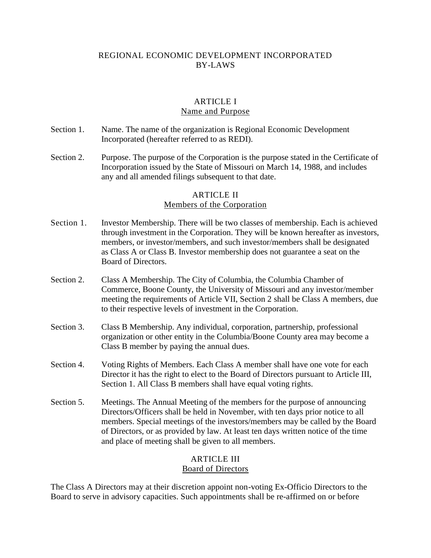# REGIONAL ECONOMIC DEVELOPMENT INCORPORATED BY-LAWS

### ARTICLE I Name and Purpose

- Section 1. Name. The name of the organization is Regional Economic Development Incorporated (hereafter referred to as REDI).
- Section 2. Purpose. The purpose of the Corporation is the purpose stated in the Certificate of Incorporation issued by the State of Missouri on March 14, 1988, and includes any and all amended filings subsequent to that date.

# ARTICLE II

# Members of the Corporation

- Section 1. Investor Membership. There will be two classes of membership. Each is achieved through investment in the Corporation. They will be known hereafter as investors, members, or investor/members, and such investor/members shall be designated as Class A or Class B. Investor membership does not guarantee a seat on the Board of Directors.
- Section 2. Class A Membership. The City of Columbia, the Columbia Chamber of Commerce, Boone County, the University of Missouri and any investor/member meeting the requirements of Article VII, Section 2 shall be Class A members, due to their respective levels of investment in the Corporation.
- Section 3. Class B Membership. Any individual, corporation, partnership, professional organization or other entity in the Columbia/Boone County area may become a Class B member by paying the annual dues.
- Section 4. Voting Rights of Members. Each Class A member shall have one vote for each Director it has the right to elect to the Board of Directors pursuant to Article III, Section 1. All Class B members shall have equal voting rights.
- Section 5. Meetings. The Annual Meeting of the members for the purpose of announcing Directors/Officers shall be held in November, with ten days prior notice to all members. Special meetings of the investors/members may be called by the Board of Directors, or as provided by law. At least ten days written notice of the time and place of meeting shall be given to all members.

### ARTICLE III Board of Directors

The Class A Directors may at their discretion appoint non-voting Ex-Officio Directors to the Board to serve in advisory capacities. Such appointments shall be re-affirmed on or before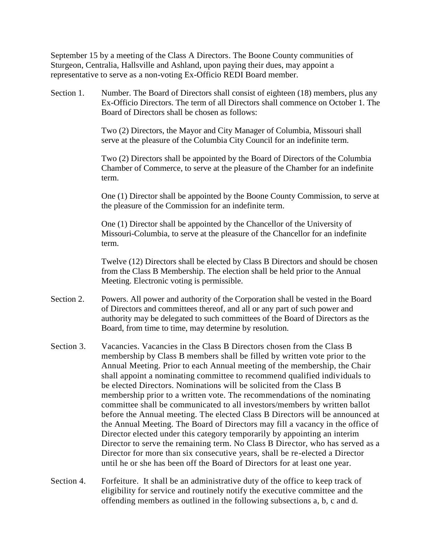September 15 by a meeting of the Class A Directors. The Boone County communities of Sturgeon, Centralia, Hallsville and Ashland, upon paying their dues, may appoint a representative to serve as a non-voting Ex-Officio REDI Board member.

Section 1. Number. The Board of Directors shall consist of eighteen (18) members, plus any Ex-Officio Directors. The term of all Directors shall commence on October 1. The Board of Directors shall be chosen as follows:

> Two (2) Directors, the Mayor and City Manager of Columbia, Missouri shall serve at the pleasure of the Columbia City Council for an indefinite term.

Two (2) Directors shall be appointed by the Board of Directors of the Columbia Chamber of Commerce, to serve at the pleasure of the Chamber for an indefinite term.

One (1) Director shall be appointed by the Boone County Commission, to serve at the pleasure of the Commission for an indefinite term.

One (1) Director shall be appointed by the Chancellor of the University of Missouri-Columbia, to serve at the pleasure of the Chancellor for an indefinite term.

Twelve (12) Directors shall be elected by Class B Directors and should be chosen from the Class B Membership. The election shall be held prior to the Annual Meeting. Electronic voting is permissible.

- Section 2. Powers. All power and authority of the Corporation shall be vested in the Board of Directors and committees thereof, and all or any part of such power and authority may be delegated to such committees of the Board of Directors as the Board, from time to time, may determine by resolution.
- Section 3. Vacancies. Vacancies in the Class B Directors chosen from the Class B membership by Class B members shall be filled by written vote prior to the Annual Meeting. Prior to each Annual meeting of the membership, the Chair shall appoint a nominating committee to recommend qualified individuals to be elected Directors. Nominations will be solicited from the Class B membership prior to a written vote. The recommendations of the nominating committee shall be communicated to all investors/members by written ballot before the Annual meeting. The elected Class B Directors will be announced at the Annual Meeting. The Board of Directors may fill a vacancy in the office of Director elected under this category temporarily by appointing an interim Director to serve the remaining term. No Class B Director, who has served as a Director for more than six consecutive years, shall be re-elected a Director until he or she has been off the Board of Directors for at least one year.
- Section 4. Forfeiture. It shall be an administrative duty of the office to keep track of eligibility for service and routinely notify the executive committee and the offending members as outlined in the following subsections a, b, c and d.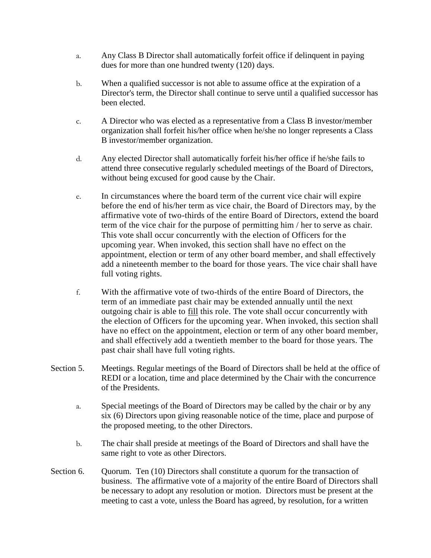- a. Any Class B Director shall automatically forfeit office if delinquent in paying dues for more than one hundred twenty (120) days.
- b. When a qualified successor is not able to assume office at the expiration of a Director's term, the Director shall continue to serve until a qualified successor has been elected.
- c. A Director who was elected as a representative from a Class B investor/member organization shall forfeit his/her office when he/she no longer represents a Class B investor/member organization.
- d. Any elected Director shall automatically forfeit his/her office if he/she fails to attend three consecutive regularly scheduled meetings of the Board of Directors, without being excused for good cause by the Chair.
- e. In circumstances where the board term of the current vice chair will expire before the end of his/her term as vice chair, the Board of Directors may, by the affirmative vote of two-thirds of the entire Board of Directors, extend the board term of the vice chair for the purpose of permitting him / her to serve as chair. This vote shall occur concurrently with the election of Officers for the upcoming year. When invoked, this section shall have no effect on the appointment, election or term of any other board member, and shall effectively add a nineteenth member to the board for those years. The vice chair shall have full voting rights.
- f. With the affirmative vote of two-thirds of the entire Board of Directors, the term of an immediate past chair may be extended annually until the next outgoing chair is able to fill this role. The vote shall occur concurrently with the election of Officers for the upcoming year. When invoked, this section shall have no effect on the appointment, election or term of any other board member, and shall effectively add a twentieth member to the board for those years. The past chair shall have full voting rights.
- Section 5. Meetings. Regular meetings of the Board of Directors shall be held at the office of REDI or a location, time and place determined by the Chair with the concurrence of the Presidents.
	- a. Special meetings of the Board of Directors may be called by the chair or by any six (6) Directors upon giving reasonable notice of the time, place and purpose of the proposed meeting, to the other Directors.
	- b. The chair shall preside at meetings of the Board of Directors and shall have the same right to vote as other Directors.
- Section 6. Quorum. Ten (10) Directors shall constitute a quorum for the transaction of business. The affirmative vote of a majority of the entire Board of Directors shall be necessary to adopt any resolution or motion. Directors must be present at the meeting to cast a vote, unless the Board has agreed, by resolution, for a written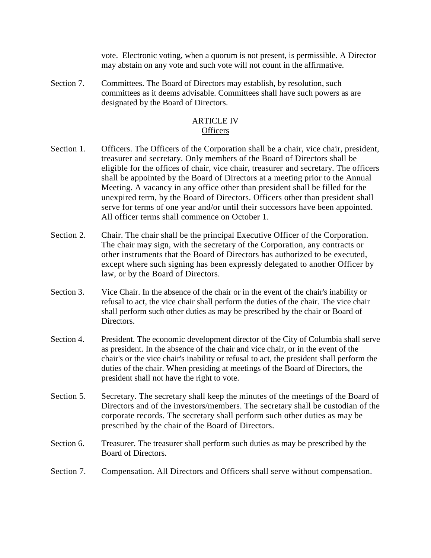vote. Electronic voting, when a quorum is not present, is permissible. A Director may abstain on any vote and such vote will not count in the affirmative.

Section 7. Committees. The Board of Directors may establish, by resolution, such committees as it deems advisable. Committees shall have such powers as are designated by the Board of Directors.

### ARTICLE IV **Officers**

- Section 1. Officers. The Officers of the Corporation shall be a chair, vice chair, president, treasurer and secretary. Only members of the Board of Directors shall be eligible for the offices of chair, vice chair, treasurer and secretary. The officers shall be appointed by the Board of Directors at a meeting prior to the Annual Meeting. A vacancy in any office other than president shall be filled for the unexpired term, by the Board of Directors. Officers other than president shall serve for terms of one year and/or until their successors have been appointed. All officer terms shall commence on October 1.
- Section 2. Chair. The chair shall be the principal Executive Officer of the Corporation. The chair may sign, with the secretary of the Corporation, any contracts or other instruments that the Board of Directors has authorized to be executed, except where such signing has been expressly delegated to another Officer by law, or by the Board of Directors.
- Section 3. Vice Chair. In the absence of the chair or in the event of the chair's inability or refusal to act, the vice chair shall perform the duties of the chair. The vice chair shall perform such other duties as may be prescribed by the chair or Board of Directors.
- Section 4. President. The economic development director of the City of Columbia shall serve as president. In the absence of the chair and vice chair, or in the event of the chair's or the vice chair's inability or refusal to act, the president shall perform the duties of the chair. When presiding at meetings of the Board of Directors, the president shall not have the right to vote.
- Section 5. Secretary. The secretary shall keep the minutes of the meetings of the Board of Directors and of the investors/members. The secretary shall be custodian of the corporate records. The secretary shall perform such other duties as may be prescribed by the chair of the Board of Directors.
- Section 6. Treasurer. The treasurer shall perform such duties as may be prescribed by the Board of Directors.
- Section 7. Compensation. All Directors and Officers shall serve without compensation.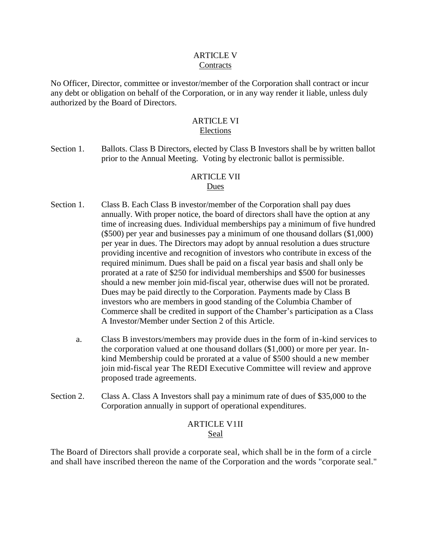### ARTICLE V **Contracts**

No Officer, Director, committee or investor/member of the Corporation shall contract or incur any debt or obligation on behalf of the Corporation, or in any way render it liable, unless duly authorized by the Board of Directors.

# ARTICLE VI Elections

Section 1. Ballots. Class B Directors, elected by Class B Investors shall be by written ballot prior to the Annual Meeting. Voting by electronic ballot is permissible.

# ARTICLE VII

# Dues

- Section 1. Class B. Each Class B investor/member of the Corporation shall pay dues annually. With proper notice, the board of directors shall have the option at any time of increasing dues. Individual memberships pay a minimum of five hundred (\$500) per year and businesses pay a minimum of one thousand dollars (\$1,000) per year in dues. The Directors may adopt by annual resolution a dues structure providing incentive and recognition of investors who contribute in excess of the required minimum. Dues shall be paid on a fiscal year basis and shall only be prorated at a rate of \$250 for individual memberships and \$500 for businesses should a new member join mid-fiscal year, otherwise dues will not be prorated. Dues may be paid directly to the Corporation. Payments made by Class B investors who are members in good standing of the Columbia Chamber of Commerce shall be credited in support of the Chamber's participation as a Class A Investor/Member under Section 2 of this Article.
	- a. Class B investors/members may provide dues in the form of in-kind services to the corporation valued at one thousand dollars (\$1,000) or more per year. Inkind Membership could be prorated at a value of \$500 should a new member join mid-fiscal year The REDI Executive Committee will review and approve proposed trade agreements.
- Section 2. Class A. Class A Investors shall pay a minimum rate of dues of \$35,000 to the Corporation annually in support of operational expenditures.

# ARTICLE V1II Seal

The Board of Directors shall provide a corporate seal, which shall be in the form of a circle and shall have inscribed thereon the name of the Corporation and the words "corporate seal."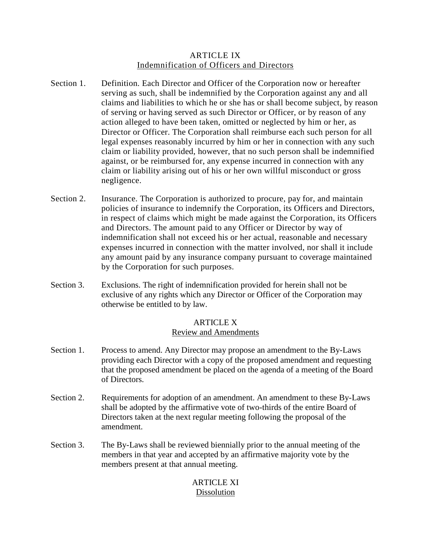### ARTICLE IX Indemnification of Officers and Directors

- Section 1. Definition. Each Director and Officer of the Corporation now or hereafter serving as such, shall be indemnified by the Corporation against any and all claims and liabilities to which he or she has or shall become subject, by reason of serving or having served as such Director or Officer, or by reason of any action alleged to have been taken, omitted or neglected by him or her, as Director or Officer. The Corporation shall reimburse each such person for all legal expenses reasonably incurred by him or her in connection with any such claim or liability provided, however, that no such person shall be indemnified against, or be reimbursed for, any expense incurred in connection with any claim or liability arising out of his or her own willful misconduct or gross negligence.
- Section 2. Insurance. The Corporation is authorized to procure, pay for, and maintain policies of insurance to indemnify the Corporation, its Officers and Directors, in respect of claims which might be made against the Corporation, its Officers and Directors. The amount paid to any Officer or Director by way of indemnification shall not exceed his or her actual, reasonable and necessary expenses incurred in connection with the matter involved, nor shall it include any amount paid by any insurance company pursuant to coverage maintained by the Corporation for such purposes.
- Section 3. Exclusions. The right of indemnification provided for herein shall not be exclusive of any rights which any Director or Officer of the Corporation may otherwise be entitled to by law.

# ARTICLE X

# Review and Amendments

- Section 1. Process to amend. Any Director may propose an amendment to the By-Laws providing each Director with a copy of the proposed amendment and requesting that the proposed amendment be placed on the agenda of a meeting of the Board of Directors.
- Section 2. Requirements for adoption of an amendment. An amendment to these By-Laws shall be adopted by the affirmative vote of two-thirds of the entire Board of Directors taken at the next regular meeting following the proposal of the amendment.
- Section 3. The By-Laws shall be reviewed biennially prior to the annual meeting of the members in that year and accepted by an affirmative majority vote by the members present at that annual meeting.

# ARTICLE XI Dissolution